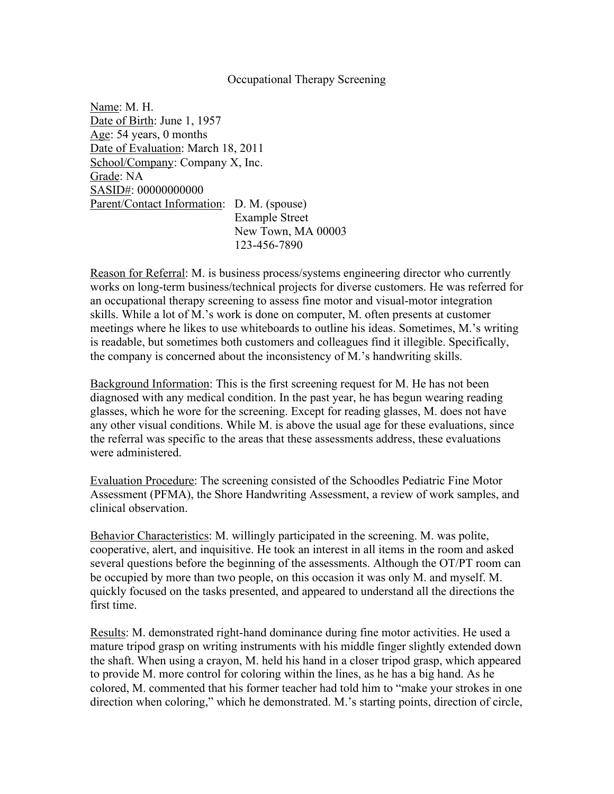## Occupational Therapy Screening

Name: M. H. Date of Birth: June 1, 1957 Age: 54 years, 0 months Date of Evaluation: March 18, 2011 School/Company: Company X, Inc. Grade: NA SASID#: 00000000000 Parent/Contact Information: D. M. (spouse) Example Street New Town, MA 00003 123-456-7890

Reason for Referral: M. is business process/systems engineering director who currently works on long-term business/technical projects for diverse customers. He was referred for an occupational therapy screening to assess fine motor and visual-motor integration skills. While a lot of M.'s work is done on computer, M. often presents at customer meetings where he likes to use whiteboards to outline his ideas. Sometimes, M.'s writing is readable, but sometimes both customers and colleagues find it illegible. Specifically, the company is concerned about the inconsistency of M.'s handwriting skills.

Background Information: This is the first screening request for M. He has not been diagnosed with any medical condition. In the past year, he has begun wearing reading glasses, which he wore for the screening. Except for reading glasses, M. does not have any other visual conditions. While M. is above the usual age for these evaluations, since the referral was specific to the areas that these assessments address, these evaluations were administered.

Evaluation Procedure: The screening consisted of the Schoodles Pediatric Fine Motor Assessment (PFMA), the Shore Handwriting Assessment, a review of work samples, and clinical observation.

Behavior Characteristics: M. willingly participated in the screening. M. was polite, cooperative, alert, and inquisitive. He took an interest in all items in the room and asked several questions before the beginning of the assessments. Although the OT/PT room can be occupied by more than two people, on this occasion it was only M. and myself. M. quickly focused on the tasks presented, and appeared to understand all the directions the first time.

Results: M. demonstrated right-hand dominance during fine motor activities. He used a mature tripod grasp on writing instruments with his middle finger slightly extended down the shaft. When using a crayon, M. held his hand in a closer tripod grasp, which appeared to provide M. more control for coloring within the lines, as he has a big hand. As he colored, M. commented that his former teacher had told him to "make your strokes in one direction when coloring," which he demonstrated. M.'s starting points, direction of circle,